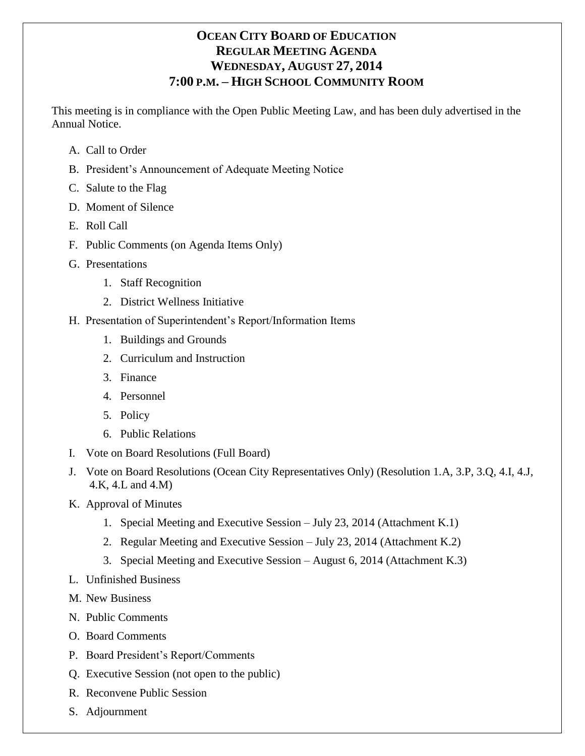# **OCEAN CITY BOARD OF EDUCATION REGULAR MEETING AGENDA WEDNESDAY, AUGUST 27, 2014 7:00 P.M. – HIGH SCHOOL COMMUNITY ROOM**

This meeting is in compliance with the Open Public Meeting Law, and has been duly advertised in the Annual Notice.

- A. Call to Order
- B. President's Announcement of Adequate Meeting Notice
- C. Salute to the Flag
- D. Moment of Silence
- E. Roll Call
- F. Public Comments (on Agenda Items Only)
- G. Presentations
	- 1. Staff Recognition
	- 2. District Wellness Initiative
- H. Presentation of Superintendent's Report/Information Items
	- 1. Buildings and Grounds
	- 2. Curriculum and Instruction
	- 3. Finance
	- 4. Personnel
	- 5. Policy
	- 6. Public Relations
- I. Vote on Board Resolutions (Full Board)
- J. Vote on Board Resolutions (Ocean City Representatives Only) (Resolution 1.A, 3.P, 3.Q, 4.I, 4.J, 4.K, 4.L and 4.M)
- K. Approval of Minutes
	- 1. Special Meeting and Executive Session July 23, 2014 (Attachment K.1)
	- 2. Regular Meeting and Executive Session July 23, 2014 (Attachment K.2)
	- 3. Special Meeting and Executive Session August 6, 2014 (Attachment K.3)
- L. Unfinished Business
- M. New Business
- N. Public Comments
- O. Board Comments
- P. Board President's Report/Comments
- Q. Executive Session (not open to the public)
- R. Reconvene Public Session
- S. Adjournment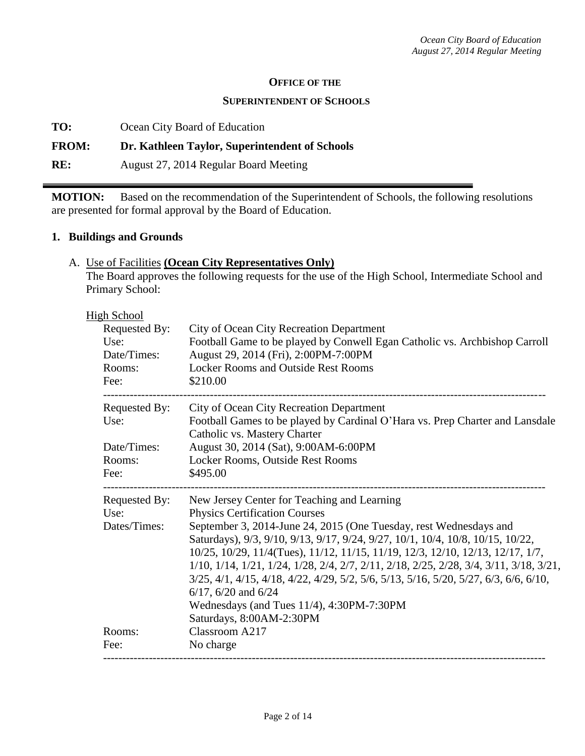#### **OFFICE OF THE**

#### **SUPERINTENDENT OF SCHOOLS**

**TO:** Ocean City Board of Education

# **FROM: Dr. Kathleen Taylor, Superintendent of Schools**

**RE:** August 27, 2014 Regular Board Meeting

**MOTION:** Based on the recommendation of the Superintendent of Schools, the following resolutions are presented for formal approval by the Board of Education.

#### **1. Buildings and Grounds**

#### A. Use of Facilities **(Ocean City Representatives Only)**

The Board approves the following requests for the use of the High School, Intermediate School and Primary School:

| <b>High School</b> |                                                                                                                                                                  |
|--------------------|------------------------------------------------------------------------------------------------------------------------------------------------------------------|
| Requested By:      | City of Ocean City Recreation Department                                                                                                                         |
| Use:               | Football Game to be played by Conwell Egan Catholic vs. Archbishop Carroll                                                                                       |
| Date/Times:        | August 29, 2014 (Fri), 2:00PM-7:00PM                                                                                                                             |
| Rooms:             | <b>Locker Rooms and Outside Rest Rooms</b>                                                                                                                       |
| Fee:               | \$210.00                                                                                                                                                         |
| Requested By:      | City of Ocean City Recreation Department                                                                                                                         |
| Use:               | Football Games to be played by Cardinal O'Hara vs. Prep Charter and Lansdale<br>Catholic vs. Mastery Charter                                                     |
| Date/Times:        | August 30, 2014 (Sat), 9:00AM-6:00PM                                                                                                                             |
| Rooms:             | Locker Rooms, Outside Rest Rooms                                                                                                                                 |
| Fee:               | \$495.00                                                                                                                                                         |
| Requested By:      | New Jersey Center for Teaching and Learning                                                                                                                      |
| Use:               | <b>Physics Certification Courses</b>                                                                                                                             |
| Dates/Times:       | September 3, 2014-June 24, 2015 (One Tuesday, rest Wednesdays and                                                                                                |
|                    | Saturdays), 9/3, 9/10, 9/13, 9/17, 9/24, 9/27, 10/1, 10/4, 10/8, 10/15, 10/22,<br>10/25, 10/29, 11/4(Tues), 11/12, 11/15, 11/19, 12/3, 12/10, 12/13, 12/17, 1/7, |
|                    | 1/10, 1/14, 1/21, 1/24, 1/28, 2/4, 2/7, 2/11, 2/18, 2/25, 2/28, 3/4, 3/11, 3/18, 3/21,                                                                           |
|                    | 3/25, 4/1, 4/15, 4/18, 4/22, 4/29, 5/2, 5/6, 5/13, 5/16, 5/20, 5/27, 6/3, 6/6, 6/10,                                                                             |
|                    | $6/17$ , $6/20$ and $6/24$                                                                                                                                       |
|                    | Wednesdays (and Tues 11/4), 4:30PM-7:30PM                                                                                                                        |
|                    | Saturdays, 8:00AM-2:30PM                                                                                                                                         |
| Rooms:             | Classroom A217                                                                                                                                                   |
| Fee:               | No charge                                                                                                                                                        |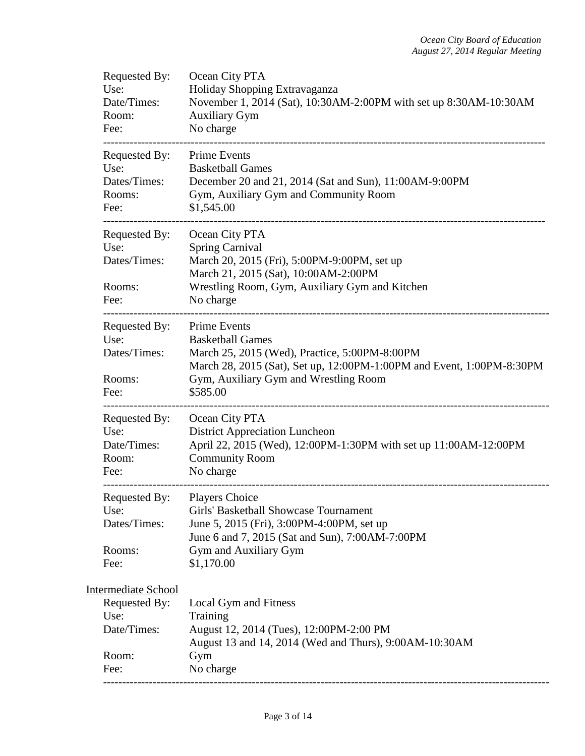| Ocean City PTA<br>Holiday Shopping Extravaganza<br>November 1, 2014 (Sat), 10:30AM-2:00PM with set up 8:30AM-10:30AM<br><b>Auxiliary Gym</b><br>No charge                                                                                                            |
|----------------------------------------------------------------------------------------------------------------------------------------------------------------------------------------------------------------------------------------------------------------------|
| <b>Prime Events</b><br><b>Basketball Games</b><br>December 20 and 21, 2014 (Sat and Sun), 11:00AM-9:00PM<br>Gym, Auxiliary Gym and Community Room<br>\$1,545.00                                                                                                      |
| Ocean City PTA<br><b>Spring Carnival</b><br>March 20, 2015 (Fri), 5:00PM-9:00PM, set up<br>March 21, 2015 (Sat), 10:00AM-2:00PM<br>Wrestling Room, Gym, Auxiliary Gym and Kitchen<br>No charge                                                                       |
| <b>Prime Events</b><br><b>Basketball Games</b><br>March 25, 2015 (Wed), Practice, 5:00PM-8:00PM<br>March 28, 2015 (Sat), Set up, 12:00PM-1:00PM and Event, 1:00PM-8:30PM<br>Gym, Auxiliary Gym and Wrestling Room<br>\$585.00<br>----------------------------------- |
| Ocean City PTA<br><b>District Appreciation Luncheon</b><br>April 22, 2015 (Wed), 12:00PM-1:30PM with set up 11:00AM-12:00PM<br><b>Community Room</b><br>No charge                                                                                                    |
| <b>Players Choice</b><br>Girls' Basketball Showcase Tournament<br>June 5, 2015 (Fri), 3:00PM-4:00PM, set up<br>June 6 and 7, 2015 (Sat and Sun), 7:00AM-7:00PM<br>Gym and Auxiliary Gym<br>\$1,170.00                                                                |
| Local Gym and Fitness<br>Training<br>August 12, 2014 (Tues), 12:00PM-2:00 PM<br>August 13 and 14, 2014 (Wed and Thurs), 9:00AM-10:30AM<br>Gym<br>No charge                                                                                                           |
|                                                                                                                                                                                                                                                                      |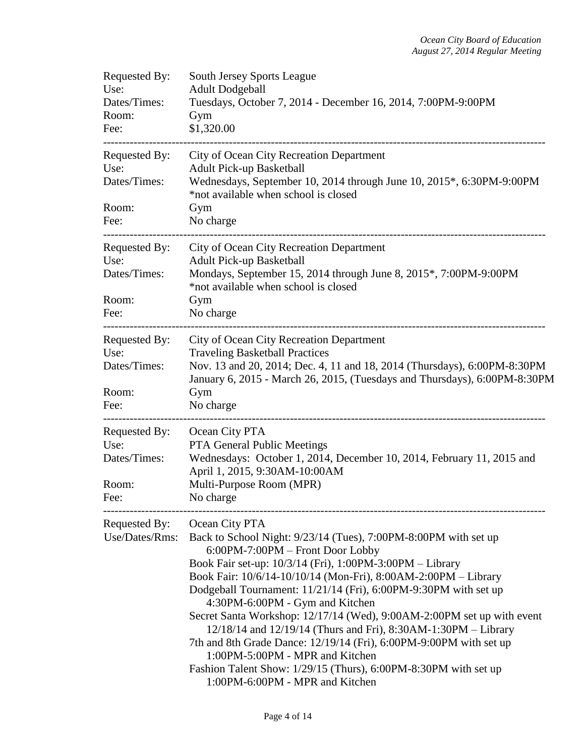| Requested By:<br>Use:<br>Dates/Times:<br>Room:<br>Fee:                      | <b>South Jersey Sports League</b><br><b>Adult Dodgeball</b><br>Tuesdays, October 7, 2014 - December 16, 2014, 7:00PM-9:00PM<br>Gym<br>\$1,320.00                                                                                                                                                                                                                                                                                                                                                                                                                                                                                                                                                                     |
|-----------------------------------------------------------------------------|----------------------------------------------------------------------------------------------------------------------------------------------------------------------------------------------------------------------------------------------------------------------------------------------------------------------------------------------------------------------------------------------------------------------------------------------------------------------------------------------------------------------------------------------------------------------------------------------------------------------------------------------------------------------------------------------------------------------|
| Requested By:<br>Use:<br>Dates/Times:<br>Room:<br>Fee:                      | City of Ocean City Recreation Department<br><b>Adult Pick-up Basketball</b><br>Wednesdays, September 10, 2014 through June 10, 2015*, 6:30PM-9:00PM<br>*not available when school is closed<br>Gym<br>No charge                                                                                                                                                                                                                                                                                                                                                                                                                                                                                                      |
| -----------------<br>Requested By:<br>Use:<br>Dates/Times:<br>Room:<br>Fee: | City of Ocean City Recreation Department<br><b>Adult Pick-up Basketball</b><br>Mondays, September 15, 2014 through June 8, 2015*, 7:00PM-9:00PM<br>*not available when school is closed<br>Gym<br>No charge                                                                                                                                                                                                                                                                                                                                                                                                                                                                                                          |
| Requested By:<br>Use:<br>Dates/Times:<br>Room:<br>Fee:                      | City of Ocean City Recreation Department<br><b>Traveling Basketball Practices</b><br>Nov. 13 and 20, 2014; Dec. 4, 11 and 18, 2014 (Thursdays), 6:00PM-8:30PM<br>January 6, 2015 - March 26, 2015, (Tuesdays and Thursdays), 6:00PM-8:30PM<br>Gym<br>No charge                                                                                                                                                                                                                                                                                                                                                                                                                                                       |
| Requested By:<br>Use:<br>Dates/Times:<br>Room:<br>Fee:                      | Ocean City PTA<br>PTA General Public Meetings<br>Wednesdays: October 1, 2014, December 10, 2014, February 11, 2015 and<br>April 1, 2015, 9:30AM-10:00AM<br>Multi-Purpose Room (MPR)<br>No charge                                                                                                                                                                                                                                                                                                                                                                                                                                                                                                                     |
| Requested By:<br>Use/Dates/Rms:                                             | Ocean City PTA<br>Back to School Night: 9/23/14 (Tues), 7:00PM-8:00PM with set up<br>6:00PM-7:00PM - Front Door Lobby<br>Book Fair set-up: 10/3/14 (Fri), 1:00PM-3:00PM - Library<br>Book Fair: 10/6/14-10/10/14 (Mon-Fri), 8:00AM-2:00PM - Library<br>Dodgeball Tournament: 11/21/14 (Fri), 6:00PM-9:30PM with set up<br>4:30PM-6:00PM - Gym and Kitchen<br>Secret Santa Workshop: 12/17/14 (Wed), 9:00AM-2:00PM set up with event<br>12/18/14 and 12/19/14 (Thurs and Fri), 8:30AM-1:30PM - Library<br>7th and 8th Grade Dance: 12/19/14 (Fri), 6:00PM-9:00PM with set up<br>1:00PM-5:00PM - MPR and Kitchen<br>Fashion Talent Show: 1/29/15 (Thurs), 6:00PM-8:30PM with set up<br>1:00PM-6:00PM - MPR and Kitchen |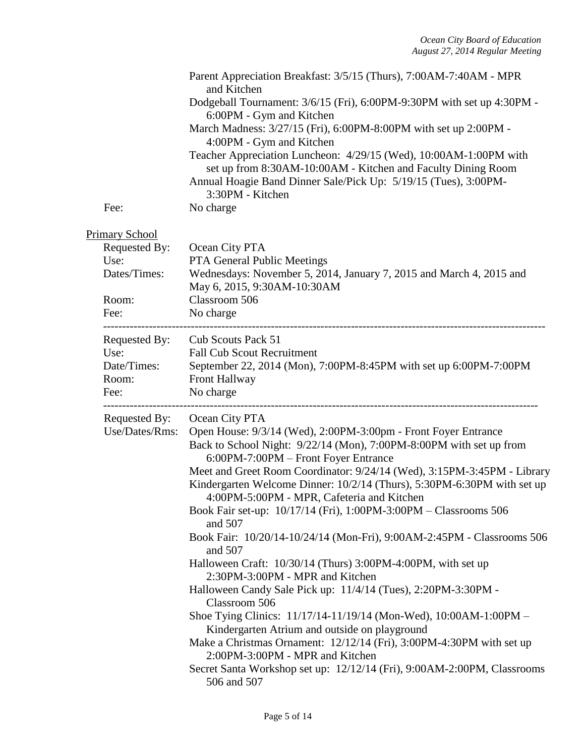|                                                                                 | Parent Appreciation Breakfast: 3/5/15 (Thurs), 7:00AM-7:40AM - MPR<br>and Kitchen<br>Dodgeball Tournament: 3/6/15 (Fri), 6:00PM-9:30PM with set up 4:30PM -<br>6:00PM - Gym and Kitchen<br>March Madness: 3/27/15 (Fri), 6:00PM-8:00PM with set up 2:00PM -<br>4:00PM - Gym and Kitchen<br>Teacher Appreciation Luncheon: 4/29/15 (Wed), 10:00AM-1:00PM with<br>set up from 8:30AM-10:00AM - Kitchen and Faculty Dining Room<br>Annual Hoagie Band Dinner Sale/Pick Up: 5/19/15 (Tues), 3:00PM-<br>3:30PM - Kitchen                                                                                                                                                                                                                                                                                                                                                                                                                                                                                                                                                                     |
|---------------------------------------------------------------------------------|-----------------------------------------------------------------------------------------------------------------------------------------------------------------------------------------------------------------------------------------------------------------------------------------------------------------------------------------------------------------------------------------------------------------------------------------------------------------------------------------------------------------------------------------------------------------------------------------------------------------------------------------------------------------------------------------------------------------------------------------------------------------------------------------------------------------------------------------------------------------------------------------------------------------------------------------------------------------------------------------------------------------------------------------------------------------------------------------|
| Fee:                                                                            | No charge                                                                                                                                                                                                                                                                                                                                                                                                                                                                                                                                                                                                                                                                                                                                                                                                                                                                                                                                                                                                                                                                               |
| <b>Primary School</b><br>Requested By:<br>Use:<br>Dates/Times:<br>Room:<br>Fee: | Ocean City PTA<br>PTA General Public Meetings<br>Wednesdays: November 5, 2014, January 7, 2015 and March 4, 2015 and<br>May 6, 2015, 9:30AM-10:30AM<br>Classroom 506<br>No charge                                                                                                                                                                                                                                                                                                                                                                                                                                                                                                                                                                                                                                                                                                                                                                                                                                                                                                       |
| Requested By:<br>Use:<br>Date/Times:<br>Room:<br>Fee:                           | Cub Scouts Pack 51<br><b>Fall Cub Scout Recruitment</b><br>September 22, 2014 (Mon), 7:00PM-8:45PM with set up 6:00PM-7:00PM<br><b>Front Hallway</b><br>No charge                                                                                                                                                                                                                                                                                                                                                                                                                                                                                                                                                                                                                                                                                                                                                                                                                                                                                                                       |
| Requested By:<br>Use/Dates/Rms:                                                 | Ocean City PTA<br>Open House: 9/3/14 (Wed), 2:00PM-3:00pm - Front Foyer Entrance<br>Back to School Night: 9/22/14 (Mon), 7:00PM-8:00PM with set up from<br>6:00PM-7:00PM - Front Foyer Entrance<br>Meet and Greet Room Coordinator: 9/24/14 (Wed), 3:15PM-3:45PM - Library<br>Kindergarten Welcome Dinner: 10/2/14 (Thurs), 5:30PM-6:30PM with set up<br>4:00PM-5:00PM - MPR, Cafeteria and Kitchen<br>Book Fair set-up: 10/17/14 (Fri), 1:00PM-3:00PM - Classrooms 506<br>and 507<br>Book Fair: 10/20/14-10/24/14 (Mon-Fri), 9:00AM-2:45PM - Classrooms 506<br>and 507<br>Halloween Craft: 10/30/14 (Thurs) 3:00PM-4:00PM, with set up<br>2:30PM-3:00PM - MPR and Kitchen<br>Halloween Candy Sale Pick up: 11/4/14 (Tues), 2:20PM-3:30PM -<br>Classroom 506<br>Shoe Tying Clinics: 11/17/14-11/19/14 (Mon-Wed), 10:00AM-1:00PM -<br>Kindergarten Atrium and outside on playground<br>Make a Christmas Ornament: 12/12/14 (Fri), 3:00PM-4:30PM with set up<br>2:00PM-3:00PM - MPR and Kitchen<br>Secret Santa Workshop set up: 12/12/14 (Fri), 9:00AM-2:00PM, Classrooms<br>506 and 507 |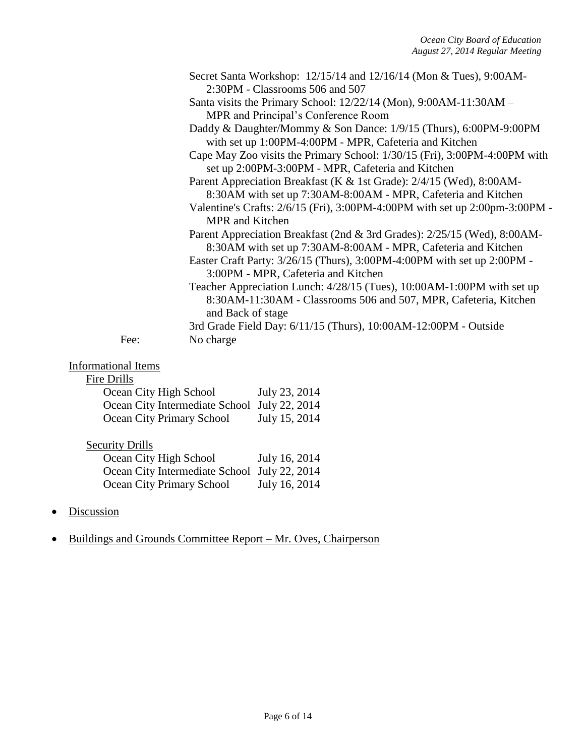|      | Secret Santa Workshop: 12/15/14 and 12/16/14 (Mon & Tues), 9:00AM-<br>2:30PM - Classrooms 506 and 507                                                           |
|------|-----------------------------------------------------------------------------------------------------------------------------------------------------------------|
|      | Santa visits the Primary School: $12/22/14$ (Mon), $9:00AM-11:30AM-$                                                                                            |
|      | MPR and Principal's Conference Room<br>Daddy & Daughter/Mommy & Son Dance: 1/9/15 (Thurs), 6:00PM-9:00PM                                                        |
|      | with set up 1:00PM-4:00PM - MPR, Cafeteria and Kitchen<br>Cape May Zoo visits the Primary School: 1/30/15 (Fri), 3:00PM-4:00PM with                             |
|      | set up 2:00PM-3:00PM - MPR, Cafeteria and Kitchen<br>Parent Appreciation Breakfast (K & 1st Grade): 2/4/15 (Wed), 8:00AM-                                       |
|      | 8:30AM with set up 7:30AM-8:00AM - MPR, Cafeteria and Kitchen<br>Valentine's Crafts: $2/6/15$ (Fri), 3:00PM-4:00PM with set up $2:00 \text{pm-3}:00 \text{PM}$  |
|      | <b>MPR</b> and Kitchen                                                                                                                                          |
|      | Parent Appreciation Breakfast (2nd & 3rd Grades): 2/25/15 (Wed), 8:00AM-<br>8:30AM with set up 7:30AM-8:00AM - MPR, Cafeteria and Kitchen                       |
|      | Easter Craft Party: 3/26/15 (Thurs), 3:00PM-4:00PM with set up 2:00PM -<br>3:00PM - MPR, Cafeteria and Kitchen                                                  |
|      | Teacher Appreciation Lunch: 4/28/15 (Tues), 10:00AM-1:00PM with set up<br>8:30AM-11:30AM - Classrooms 506 and 507, MPR, Cafeteria, Kitchen<br>and Back of stage |
|      | 3rd Grade Field Day: 6/11/15 (Thurs), 10:00AM-12:00PM - Outside                                                                                                 |
| Fee: | No charge                                                                                                                                                       |

# Informational Items

# Fire Drills

| Ocean City High School                       | July 23, 2014 |
|----------------------------------------------|---------------|
| Ocean City Intermediate School July 22, 2014 |               |
| Ocean City Primary School                    | July 15, 2014 |

# **Security Drills**

| Ocean City High School                       | July 16, 2014 |
|----------------------------------------------|---------------|
| Ocean City Intermediate School July 22, 2014 |               |
| Ocean City Primary School                    | July 16, 2014 |

• Discussion

# • Buildings and Grounds Committee Report – Mr. Oves, Chairperson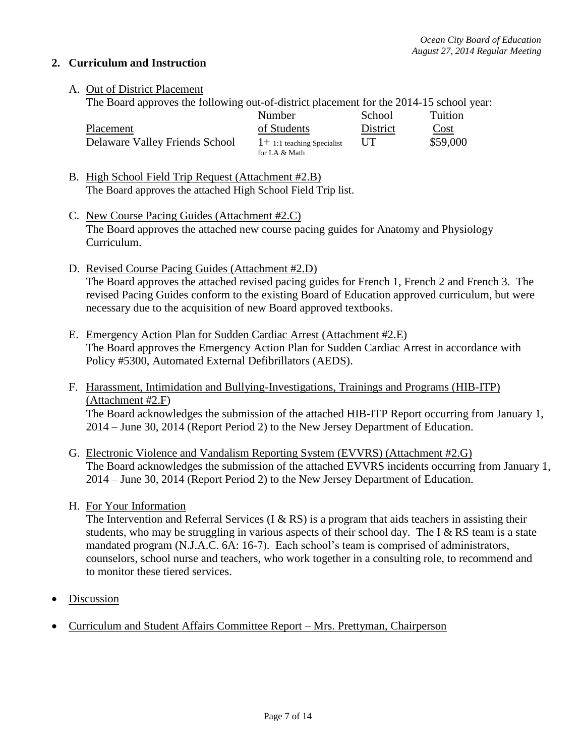## **2. Curriculum and Instruction**

## A. Out of District Placement

The Board approves the following out-of-district placement for the 2014-15 school year:

|                                | Number                      | School   | Tuition  |
|--------------------------------|-----------------------------|----------|----------|
| Placement                      | of Students                 | District | Cost     |
| Delaware Valley Friends School | $1+1:1$ teaching Specialist | UT       | \$59,000 |
|                                | for LA & Math               |          |          |

- B. High School Field Trip Request (Attachment #2.B) The Board approves the attached High School Field Trip list.
- C. New Course Pacing Guides (Attachment #2.C) The Board approves the attached new course pacing guides for Anatomy and Physiology Curriculum.
- D. Revised Course Pacing Guides (Attachment #2.D) The Board approves the attached revised pacing guides for French 1, French 2 and French 3. The revised Pacing Guides conform to the existing Board of Education approved curriculum, but were necessary due to the acquisition of new Board approved textbooks.
- E. Emergency Action Plan for Sudden Cardiac Arrest (Attachment #2.E) The Board approves the Emergency Action Plan for Sudden Cardiac Arrest in accordance with Policy #5300, Automated External Defibrillators (AEDS).
- F. Harassment, Intimidation and Bullying-Investigations, Trainings and Programs (HIB-ITP) (Attachment #2.F) The Board acknowledges the submission of the attached HIB-ITP Report occurring from January 1, 2014 – June 30, 2014 (Report Period 2) to the New Jersey Department of Education.
- G. Electronic Violence and Vandalism Reporting System (EVVRS) (Attachment #2.G) The Board acknowledges the submission of the attached EVVRS incidents occurring from January 1, 2014 – June 30, 2014 (Report Period 2) to the New Jersey Department of Education.
- H. For Your Information

The Intervention and Referral Services (I  $&$  RS) is a program that aids teachers in assisting their students, who may be struggling in various aspects of their school day. The I  $&$  RS team is a state mandated program (N.J.A.C. 6A: 16-7). Each school's team is comprised of administrators, counselors, school nurse and teachers, who work together in a consulting role, to recommend and to monitor these tiered services.

- Discussion
- Curriculum and Student Affairs Committee Report Mrs. Prettyman, Chairperson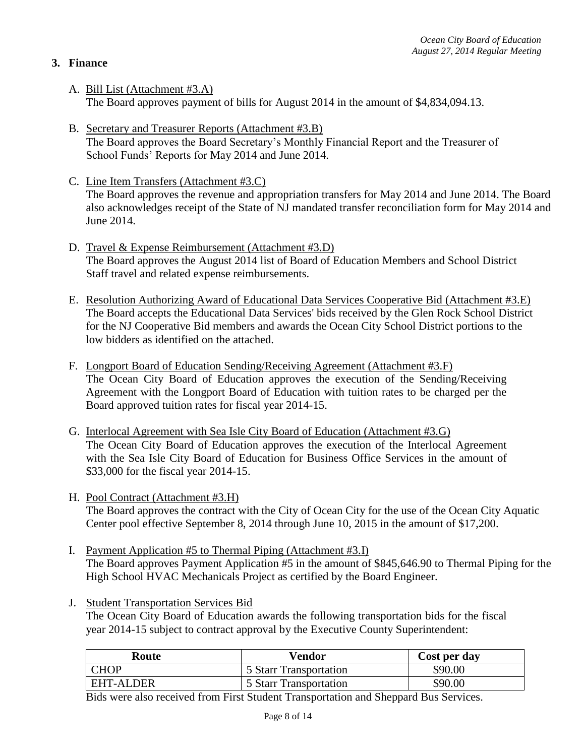# **3. Finance**

- A. Bill List (Attachment #3.A) The Board approves payment of bills for August 2014 in the amount of \$4,834,094.13.
- B. Secretary and Treasurer Reports (Attachment #3.B) The Board approves the Board Secretary's Monthly Financial Report and the Treasurer of School Funds' Reports for May 2014 and June 2014.
- C. Line Item Transfers (Attachment #3.C) The Board approves the revenue and appropriation transfers for May 2014 and June 2014. The Board also acknowledges receipt of the State of NJ mandated transfer reconciliation form for May 2014 and June 2014.
- D. Travel & Expense Reimbursement (Attachment #3.D) The Board approves the August 2014 list of Board of Education Members and School District Staff travel and related expense reimbursements.
- E. Resolution Authorizing Award of Educational Data Services Cooperative Bid (Attachment #3.E) The Board accepts the Educational Data Services' bids received by the Glen Rock School District for the NJ Cooperative Bid members and awards the Ocean City School District portions to the low bidders as identified on the attached.
- F. Longport Board of Education Sending/Receiving Agreement (Attachment #3.F) The Ocean City Board of Education approves the execution of the Sending/Receiving Agreement with the Longport Board of Education with tuition rates to be charged per the Board approved tuition rates for fiscal year 2014-15.
- G. Interlocal Agreement with Sea Isle City Board of Education (Attachment #3.G) The Ocean City Board of Education approves the execution of the Interlocal Agreement with the Sea Isle City Board of Education for Business Office Services in the amount of \$33,000 for the fiscal year 2014-15.
- H. Pool Contract (Attachment #3.H) The Board approves the contract with the City of Ocean City for the use of the Ocean City Aquatic Center pool effective September 8, 2014 through June 10, 2015 in the amount of \$17,200.
- I. Payment Application #5 to Thermal Piping (Attachment #3.I) The Board approves Payment Application #5 in the amount of \$845,646.90 to Thermal Piping for the High School HVAC Mechanicals Project as certified by the Board Engineer.
- J. Student Transportation Services Bid The Ocean City Board of Education awards the following transportation bids for the fiscal year 2014-15 subject to contract approval by the Executive County Superintendent:

| Route            | Vendor                        | Cost per day |
|------------------|-------------------------------|--------------|
| <b>CHOP</b>      | <b>5 Starr Transportation</b> | \$90.00      |
| <b>EHT-ALDER</b> | 5 Starr Transportation        | \$90.00      |

Bids were also received from First Student Transportation and Sheppard Bus Services.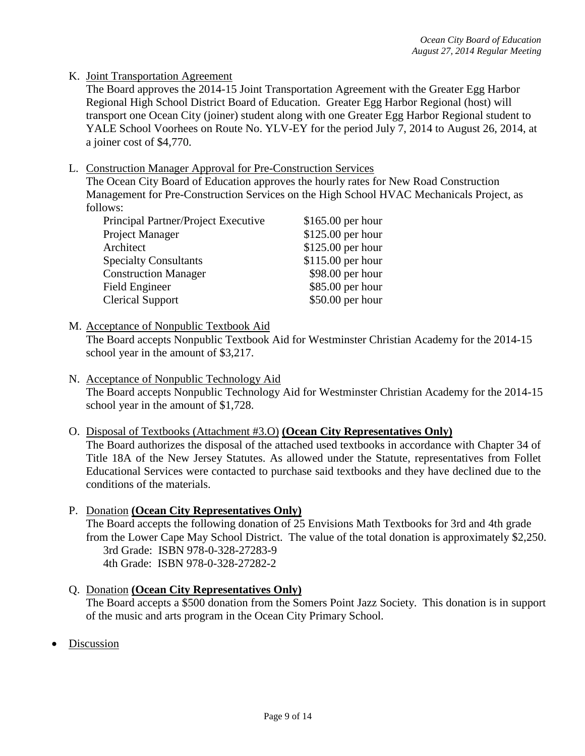## K. Joint Transportation Agreement

The Board approves the 2014-15 Joint Transportation Agreement with the Greater Egg Harbor Regional High School District Board of Education. Greater Egg Harbor Regional (host) will transport one Ocean City (joiner) student along with one Greater Egg Harbor Regional student to YALE School Voorhees on Route No. YLV-EY for the period July 7, 2014 to August 26, 2014, at a joiner cost of \$4,770.

#### L. Construction Manager Approval for Pre-Construction Services

The Ocean City Board of Education approves the hourly rates for New Road Construction Management for Pre-Construction Services on the High School HVAC Mechanicals Project, as follows:

| Principal Partner/Project Executive | $$165.00$ per hour |
|-------------------------------------|--------------------|
| Project Manager                     | \$125.00 per hour  |
| Architect                           | \$125.00 per hour  |
| <b>Specialty Consultants</b>        | \$115.00 per hour  |
| <b>Construction Manager</b>         | \$98.00 per hour   |
| Field Engineer                      | \$85.00 per hour   |
| <b>Clerical Support</b>             | \$50.00 per hour   |

#### M. Acceptance of Nonpublic Textbook Aid

The Board accepts Nonpublic Textbook Aid for Westminster Christian Academy for the 2014-15 school year in the amount of \$3,217.

N. Acceptance of Nonpublic Technology Aid The Board accepts Nonpublic Technology Aid for Westminster Christian Academy for the 2014-15 school year in the amount of \$1,728.

#### O. Disposal of Textbooks (Attachment #3.O) **(Ocean City Representatives Only)**

The Board authorizes the disposal of the attached used textbooks in accordance with Chapter 34 of Title 18A of the New Jersey Statutes. As allowed under the Statute, representatives from Follet Educational Services were contacted to purchase said textbooks and they have declined due to the conditions of the materials.

- P. Donation **(Ocean City Representatives Only)**  The Board accepts the following donation of 25 Envisions Math Textbooks for 3rd and 4th grade from the Lower Cape May School District. The value of the total donation is approximately \$2,250. 3rd Grade: ISBN 978-0-328-27283-9 4th Grade: ISBN 978-0-328-27282-2
- Q. Donation **(Ocean City Representatives Only)** The Board accepts a \$500 donation from the Somers Point Jazz Society. This donation is in support of the music and arts program in the Ocean City Primary School.
- Discussion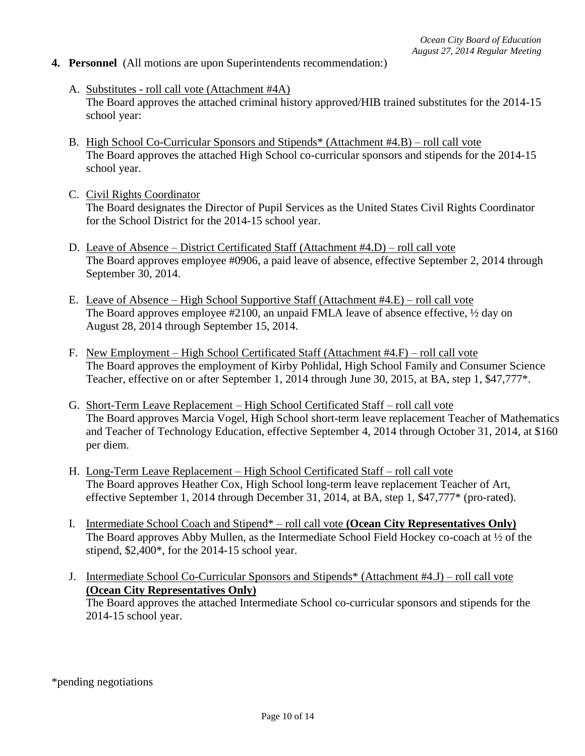#### **4. Personnel** (All motions are upon Superintendents recommendation:)

- A. Substitutes roll call vote (Attachment #4A) The Board approves the attached criminal history approved/HIB trained substitutes for the 2014-15 school year:
- B. High School Co-Curricular Sponsors and Stipends\* (Attachment #4.B) roll call vote The Board approves the attached High School co-curricular sponsors and stipends for the 2014-15 school year.
- C. Civil Rights Coordinator The Board designates the Director of Pupil Services as the United States Civil Rights Coordinator for the School District for the 2014-15 school year.
- D. Leave of Absence District Certificated Staff (Attachment #4.D) roll call vote The Board approves employee #0906, a paid leave of absence, effective September 2, 2014 through September 30, 2014.
- E. Leave of Absence High School Supportive Staff (Attachment #4.E) roll call vote The Board approves employee #2100, an unpaid FMLA leave of absence effective, ½ day on August 28, 2014 through September 15, 2014.
- F. New Employment High School Certificated Staff (Attachment #4.F) roll call vote The Board approves the employment of Kirby Pohlidal, High School Family and Consumer Science Teacher, effective on or after September 1, 2014 through June 30, 2015, at BA, step 1, \$47,777\*.
- G. Short-Term Leave Replacement High School Certificated Staff roll call vote The Board approves Marcia Vogel, High School short-term leave replacement Teacher of Mathematics and Teacher of Technology Education, effective September 4, 2014 through October 31, 2014, at \$160 per diem.
- H. Long-Term Leave Replacement High School Certificated Staff roll call vote The Board approves Heather Cox, High School long-term leave replacement Teacher of Art, effective September 1, 2014 through December 31, 2014, at BA, step 1, \$47,777\* (pro-rated).
- I. Intermediate School Coach and Stipend\* roll call vote **(Ocean City Representatives Only)** The Board approves Abby Mullen, as the Intermediate School Field Hockey co-coach at ½ of the stipend, \$2,400\*, for the 2014-15 school year.
- J. Intermediate School Co-Curricular Sponsors and Stipends\* (Attachment #4.J) roll call vote **(Ocean City Representatives Only)** The Board approves the attached Intermediate School co-curricular sponsors and stipends for the 2014-15 school year.

\*pending negotiations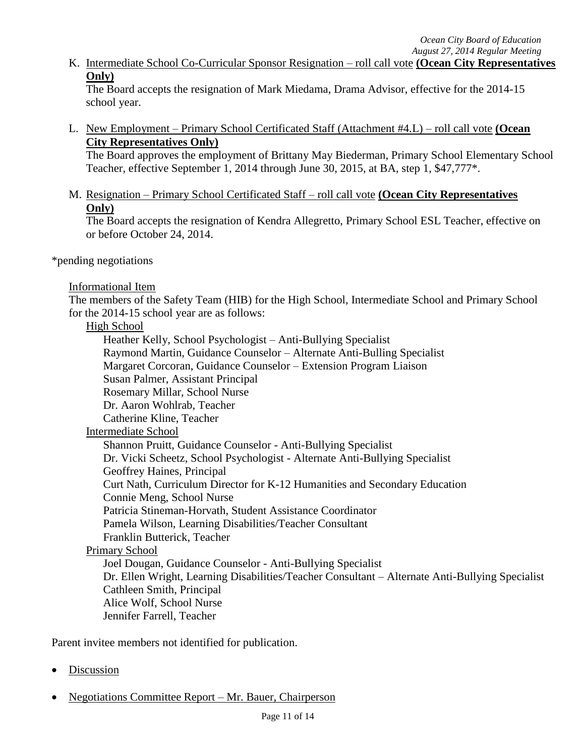K. Intermediate School Co-Curricular Sponsor Resignation – roll call vote **(Ocean City Representatives Only)**

The Board accepts the resignation of Mark Miedama, Drama Advisor, effective for the 2014-15 school year.

L. New Employment – Primary School Certificated Staff (Attachment #4.L) – roll call vote **(Ocean City Representatives Only)**

The Board approves the employment of Brittany May Biederman, Primary School Elementary School Teacher, effective September 1, 2014 through June 30, 2015, at BA, step 1, \$47,777\*.

M. M. Resignation – Primary School Certificated Staff – roll call vote **(Ocean City Representatives Only**)

The Board accepts the resignation of Kendra Allegretto, Primary School ESL Teacher, effective on or before October 24, 2014.

\*pending negotiations

#### Informational Item

The members of the Safety Team (HIB) for the High School, Intermediate School and Primary School for the 2014-15 school year are as follows:

### High School

Heather Kelly, School Psychologist – Anti-Bullying Specialist Raymond Martin, Guidance Counselor – Alternate Anti-Bulling Specialist Margaret Corcoran, Guidance Counselor – Extension Program Liaison Susan Palmer, Assistant Principal Rosemary Millar, School Nurse Dr. Aaron Wohlrab, Teacher Catherine Kline, Teacher Intermediate School Shannon Pruitt, Guidance Counselor - Anti-Bullying Specialist Dr. Vicki Scheetz, School Psychologist - Alternate Anti-Bullying Specialist Geoffrey Haines, Principal Curt Nath, Curriculum Director for K-12 Humanities and Secondary Education Connie Meng, School Nurse Patricia Stineman-Horvath, Student Assistance Coordinator Pamela Wilson, Learning Disabilities/Teacher Consultant Franklin Butterick, Teacher Primary School Joel Dougan, Guidance Counselor - Anti-Bullying Specialist Dr. Ellen Wright, Learning Disabilities/Teacher Consultant – Alternate Anti-Bullying Specialist Cathleen Smith, Principal Alice Wolf, School Nurse Jennifer Farrell, Teacher

Parent invitee members not identified for publication.

- Discussion
- Negotiations Committee Report Mr. Bauer, Chairperson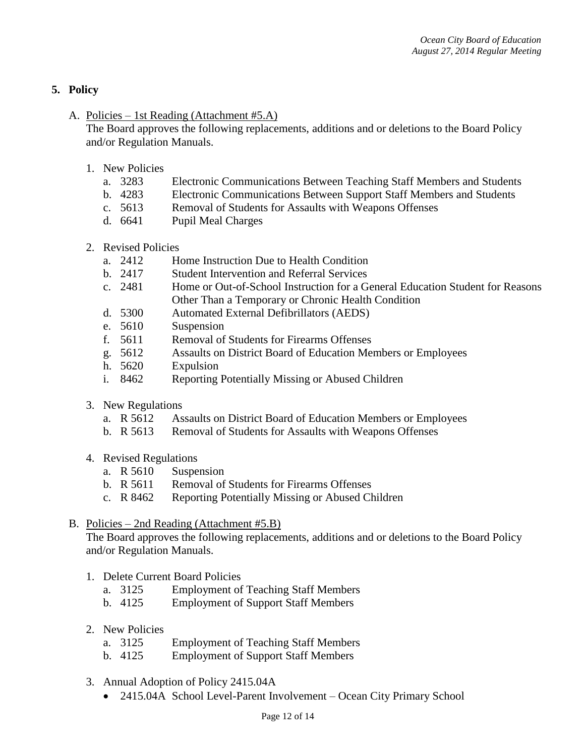# **5. Policy**

## A. Policies – 1st Reading (Attachment #5.A)

The Board approves the following replacements, additions and or deletions to the Board Policy and/or Regulation Manuals.

- 1. New Policies
	- a. 3283 Electronic Communications Between Teaching Staff Members and Students
	- b. 4283 Electronic Communications Between Support Staff Members and Students
	- c. 5613 Removal of Students for Assaults with Weapons Offenses
	- d. 6641 Pupil Meal Charges
- 2. Revised Policies
	- a. 2412 Home Instruction Due to Health Condition
	- b. 2417 Student Intervention and Referral Services
	- c. 2481 Home or Out-of-School Instruction for a General Education Student for Reasons Other Than a Temporary or Chronic Health Condition
	- d. 5300 Automated External Defibrillators (AEDS)
	- e. 5610 Suspension
	- f. 5611 Removal of Students for Firearms Offenses
	- g. 5612 Assaults on District Board of Education Members or Employees
	- h. 5620 Expulsion
	- i. 8462 Reporting Potentially Missing or Abused Children
- 3. New Regulations
	- a. R 5612 Assaults on District Board of Education Members or Employees
	- b. R 5613 Removal of Students for Assaults with Weapons Offenses
- 4. Revised Regulations
	- a. R 5610 Suspension
	- b. R 5611 Removal of Students for Firearms Offenses
	- c. R 8462 Reporting Potentially Missing or Abused Children

#### B. Policies – 2nd Reading (Attachment #5.B)

The Board approves the following replacements, additions and or deletions to the Board Policy and/or Regulation Manuals.

- 1. Delete Current Board Policies
	- a. 3125 Employment of Teaching Staff Members
	- b. 4125 Employment of Support Staff Members
- 2. New Policies
	- a. 3125 Employment of Teaching Staff Members
	- b. 4125 Employment of Support Staff Members
- 3. Annual Adoption of Policy 2415.04A
	- 2415.04A School Level-Parent Involvement Ocean City Primary School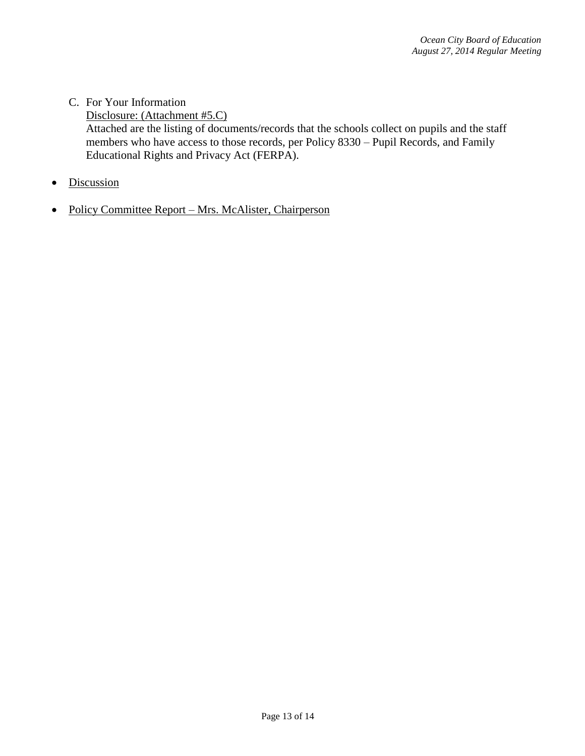- C. For Your Information Disclosure: (Attachment #5.C) Attached are the listing of documents/records that the schools collect on pupils and the staff members who have access to those records, per Policy 8330 – Pupil Records, and Family Educational Rights and Privacy Act (FERPA).
- Discussion
- Policy Committee Report Mrs. McAlister, Chairperson